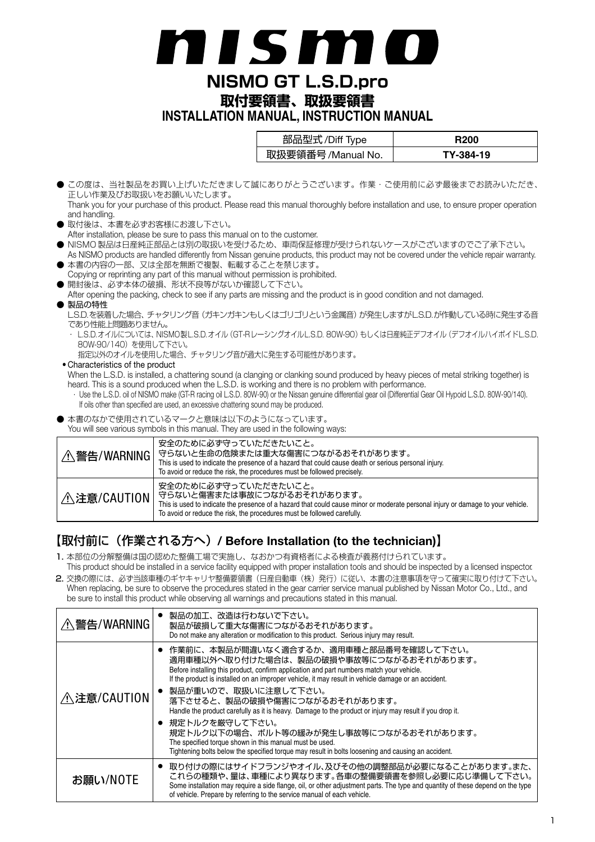# n i s mi

**NISMO GT L.S.D.pro**

**取付要領書、取扱要領書 INSTALLATION MANUAL, INSTRUCTION MANUAL**

| 部品型式/Diff Type     | R200      |
|--------------------|-----------|
| 取扱要領番号 /Manual No. | TY-384-19 |

- この度は、当社製品をお買い上げいただきまして誠にありがとうございます。作業・ご使用前に必ず最後までお読みいただき、 正しい作業及びお取扱いをお願いいたします。
- Thank you for your purchase of this product. Please read this manual thoroughly before installation and use, to ensure proper operation and handling.
- 取付後は、本書を必ずお客様にお渡し下さい。
- After installation, please be sure to pass this manual on to the customer.
- NISMO 製品は日産純正部品とは別の取扱いを受けるため、車両保証修理が受けられないケースがございますのでご了承下さい。
- As NISMO products are handled differently from Nissan genuine products, this product may not be covered under the vehicle repair warranty. ● 本書の内容の一部、又は全部を無断で複製、転載することを禁じます。
- Copying or reprinting any part of this manual without permission is prohibited. ● 開封後は、必ず本体の破損、形状不良等がないか確認して下さい。
- After opening the packing, check to see if any parts are missing and the product is in good condition and not damaged.
- 製品の特性

L.S.D.を装着した場合、チャタリング音(ガキンガキンもしくはゴリゴリという金属音)が発生しますがL.S.D.が作動している時に発生する音 であり性能上問題ありません。

- ・ L.S.D.オイルについては、NISMO製L.S.D.オイル(GT-RレーシングオイルL.S.D. 80W-90)もしくは日産純正デフオイル(デフオイルハイポイドL.S.D. 80W-90/140) を使用して下さい。
	- 指定以外のオイルを使用した場合、チャタリング音が過大に発生する可能性があります。

#### • Characteristics of the product

When the L.S.D. is installed, a chattering sound (a clanging or clanking sound produced by heavy pieces of metal striking together) is heard. This is a sound produced when the L.S.D. is working and there is no problem with performance.

- · Use the L.S.D. oil of NISMO make (GT-R racing oil L.S.D. 80W-90) or the Nissan genuine differential gear oil (Differential Gear Oil Hypoid L.S.D. 80W-90/140). If oils other than specified are used, an excessive chattering sound may be produced.
- 本書のなかで使用されているマークと意味は以下のようになっています。

You will see various symbols in this manual. They are used in the following ways:

| △ 警告/WARNING | 安全のために必ず守っていただきたいこと。<br>守らないと生命の危険または重大な傷害につながるおそれがあります。<br>This is used to indicate the presence of a hazard that could cause death or serious personal injury.<br>To avoid or reduce the risk, the procedures must be followed precisely.                      |
|--------------|------------------------------------------------------------------------------------------------------------------------------------------------------------------------------------------------------------------------------------------------------------------|
| △ 注意/CAUTION | 安全のために必ず守っていただきたいこと。<br>守らないと傷害または事故につながるおそれがあります。<br>This is used to indicate the presence of a hazard that could cause minor or moderate personal injury or damage to your vehicle.<br>To avoid or reduce the risk, the procedures must be followed carefully. |

# 【取付前に(作業される方へ)**/ Before Installation (to the technician)**】

- 1. 本部位の分解整備は国の認めた整備工場で実施し、なおかつ有資格者による検査が義務付けられています。
- This product should be installed in a service facility equipped with proper installation tools and should be inspected by a licensed inspector. 2. 交換の際には、必ず当該車種のギヤキャリヤ整備要領書(日産自動車(株)発行)に従い、本書の注意事項を守って確実に取り付けて下さい。 When replacing, be sure to observe the procedures stated in the gear carrier service manual published by Nissan Motor Co., Ltd., and be sure to install this product while observing all warnings and precautions stated in this manual.

| △ 警告/WARNING       | 製品の加工、改造は行わないで下さい。<br>製品が破損して重大な傷害につながるおそれがあります。<br>Do not make any alteration or modification to this product. Serious injury may result.                                                                                                                                                                        |
|--------------------|-------------------------------------------------------------------------------------------------------------------------------------------------------------------------------------------------------------------------------------------------------------------------------------------------------------------|
|                    | 作業前に、本製品が間違いなく適合するか、適用車種と部品番号を確認して下さい。<br>適用車種以外へ取り付けた場合は、製品の破損や事故等につながるおそれがあります。<br>Before installing this product, confirm application and part numbers match your vehicle.<br>If the product is installed on an improper vehicle, it may result in vehicle damage or an accident.<br>製品が重いので、取扱いに注意して下さい。      |
| <b>∧注意/CAUTION</b> | 落下させると、製品の破損や傷害につながるおそれがあります。<br>Handle the product carefully as it is heavy. Damage to the product or injury may result if you drop it.                                                                                                                                                                          |
|                    | ● 規定トルクを厳守して下さい。<br>規定トルク以下の場合、ボルト等の緩みが発生し事故等につながるおそれがあります。<br>The specified torque shown in this manual must be used.<br>Tightening bolts below the specified torque may result in bolts loosening and causing an accident.                                                                                      |
| お願い/NOTE           | ● 取り付けの際にはサイドフランジやオイル、及びその他の調整部品が必要になることがあります。また、<br>これらの種類や、量は、車種により異なります。各車の整備要領書を参照し必要に応じ準備して下さい。<br>Some installation may require a side flange, oil, or other adjustment parts. The type and quantity of these depend on the type<br>of vehicle. Prepare by referring to the service manual of each vehicle. |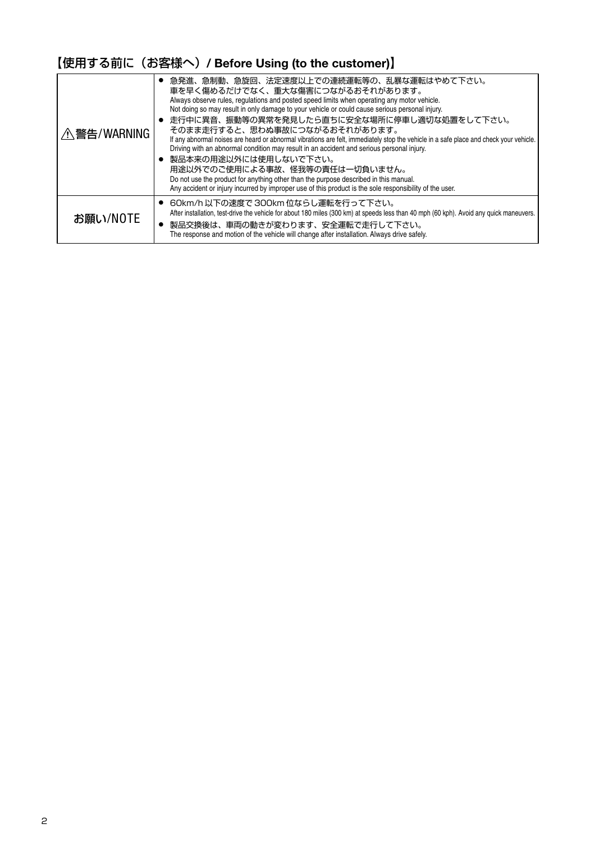# 【使用する前に(お客様へ)**/ Before Using (to the customer)**】

| / 警告/WARNING | ● 急発進、急制動、急旋回、法定速度以上での連続運転等の、乱暴な運転はやめて下さい。<br>車を早く傷めるだけでなく、重大な傷害につながるおそれがあります。<br>Always observe rules, regulations and posted speed limits when operating any motor vehicle.<br>Not doing so may result in only damage to your vehicle or could cause serious personal injury.<br>● 走行中に異音、振動等の異常を発見したら直ちに安全な場所に停車し適切な処置をして下さい。<br>そのまま走行すると、思わぬ事故につながるおそれがあります。<br>If any abnormal noises are heard or abnormal vibrations are felt, immediately stop the vehicle in a safe place and check your vehicle.<br>Driving with an abnormal condition may result in an accident and serious personal injury.<br>● 製品本来の用途以外には使用しないで下さい。<br>用途以外でのご使用による事故、怪我等の責任は一切負いません。<br>Do not use the product for anything other than the purpose described in this manual.<br>Any accident or injury incurred by improper use of this product is the sole responsibility of the user. |
|--------------|--------------------------------------------------------------------------------------------------------------------------------------------------------------------------------------------------------------------------------------------------------------------------------------------------------------------------------------------------------------------------------------------------------------------------------------------------------------------------------------------------------------------------------------------------------------------------------------------------------------------------------------------------------------------------------------------------------------------------------------------------------------------------------------------------------------------------------------------------------------------------|
| お願い/NOTE     | ● 60km/h以下の速度で 300km 位ならし運転を行って下さい。<br>After installation, test-drive the vehicle for about 180 miles (300 km) at speeds less than 40 mph (60 kph). Avoid any quick maneuvers.<br>製品交換後は、車両の動きが変わります、安全運転で走行して下さい。<br>The response and motion of the vehicle will change after installation. Always drive safely.                                                                                                                                                                                                                                                                                                                                                                                                                                                                                                                                                        |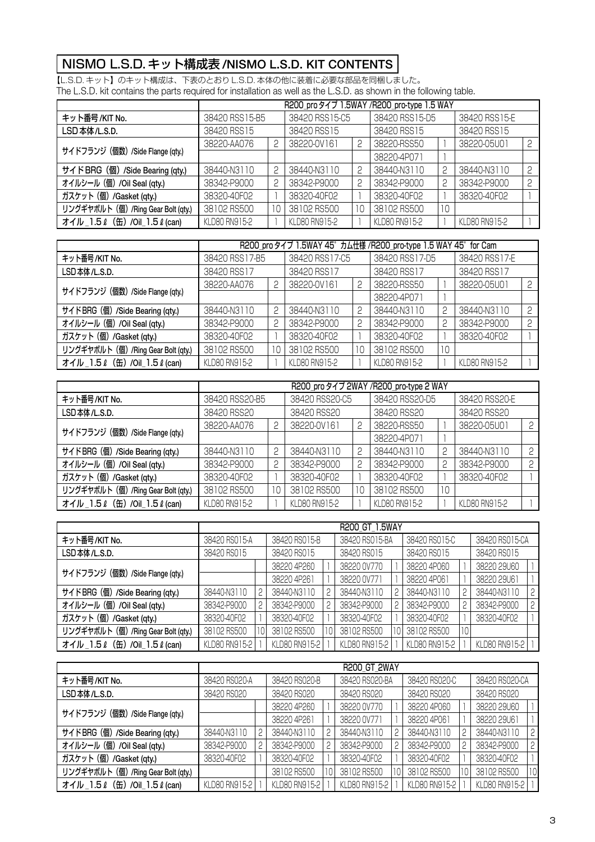# NISMO L.S.D. キット構成表 **/NISMO L.S.D. KIT CONTENTS**

【L.S.D. キット】のキット構成は、下表のとおり L.S.D. 本体の他に装着に必要な部品を同梱しました。 The L.S.D. kit contains the parts required for installation as well as the L.S.D. as shown in the following table.

|                                     | R200 pro タイプ 1.5WAY /R200_pro-type 1.5 WAY |             |                |                |               |               |               |   |  |
|-------------------------------------|--------------------------------------------|-------------|----------------|----------------|---------------|---------------|---------------|---|--|
| キット番号/KIT No.                       | 38420 RSS15-B5                             |             | 38420 RSS15-C5 | 38420 RSS15-D5 |               | 38420 RSS15-E |               |   |  |
| LSD本体/L.S.D.                        | 38420 RSS15<br>38420 RSS15                 |             |                |                | 38420 RSS15   | 38420 RSS15   |               |   |  |
|                                     | 38220-AA076                                | P           | 38220-0V161    | 2              | 38220-RSS50   |               | 38220-05U01   | ଠ |  |
| サイドフランジ (個数) /Side Flange (qty.)    |                                            |             |                |                | 38220-4P071   |               |               |   |  |
| サイドBRG (個) /Side Bearing (qty.)     | 38440-N3110                                |             | 38440-N3110    | 2              | 38440-N3110   | 2             | 38440-N3110   | O |  |
| オイルシール (個) /Oil Seal (qty.)         | 38342-P9000                                | 2           | 38342-P9000    | 2              | 38342-P9000   | 2             | 38342-P9000   | C |  |
| ガスケット (個) /Gasket (qty.)            | 38320-40F02                                | 38320-40F02 |                |                | 38320-40F02   |               | 38320-40F02   |   |  |
| リングギヤボルト (個) /Ring Gear Bolt (qty.) | 38102 RS500                                | 10          | 38102 RS500    | 10             | 38102 RS500   | 10            |               |   |  |
| オイル_1.5 L (缶) /Oil_1.5 L (can)      | KLD80 RN915-2                              |             | KLD80 RN915-2  |                | KLD80 RN915-2 |               | KLD80 RN915-2 |   |  |

|                                     | R200_pro タイプ 1.5WAY 45°カム仕様 /R200_pro-type 1.5 WAY 45° for Cam |             |                |                |               |               |               |   |  |
|-------------------------------------|----------------------------------------------------------------|-------------|----------------|----------------|---------------|---------------|---------------|---|--|
| キット番号/KIT No.                       | 38420 RSS17-B5                                                 |             | 38420 RSS17-C5 | 38420 RSS17-D5 |               | 38420 RSS17-E |               |   |  |
| LSD本体/L.S.D.                        | 38420 RSS17                                                    | 38420 RSS17 | 38420 RSS17    |                | 38420 RSS17   |               |               |   |  |
|                                     | 38220-AA076                                                    | 2           | 38220-0V161    | 2              | 38220-RSS50   |               | 38220-05U01   | 2 |  |
| サイドフランジ (個数) /Side Flange (qty.)    |                                                                |             |                |                | 38220-4P071   |               |               |   |  |
| サイドBRG (個) /Side Bearing (qty.)     | 38440-N3110                                                    | 2           | 38440-N3110    | 2              | 38440-N3110   | 2             | 38440-N3110   | 2 |  |
| オイルシール (個) /Oil Seal (qty.)         | 38342-P9000                                                    | P           | 38342-P9000    | 2              | 38342-P9000   | 2             | 38342-P9000   | 2 |  |
| ガスケット (個) /Gasket (qty.)            | 38320-40F02                                                    |             | 38320-40F02    |                | 38320-40F02   |               | 38320-40F02   |   |  |
| リングギヤボルト (個) /Ring Gear Bolt (qty.) | 38102 RS500                                                    | 10          | 38102 RS500    | 10             | 38102 RS500   | 10            |               |   |  |
| オイル_1.5 L (缶) /Oil_1.5 L (can)      | KLD80 RN915-2                                                  |             | KLD80 RN915-2  |                | KLD80 RN915-2 |               | KLD80 RN915-2 |   |  |

|                                     | R200 pro タイプ 2WAY /R200 pro-type 2 WAY |             |                |                |               |               |               |   |  |
|-------------------------------------|----------------------------------------|-------------|----------------|----------------|---------------|---------------|---------------|---|--|
| キット番号/KIT No.                       | 38420 RSS20-B5                         |             | 38420 RSS20-C5 | 38420 RSS20-D5 |               | 38420 RSS20-E |               |   |  |
| LSD本体/L.S.D.                        | 38420 RSS20                            | 38420 RSS20 | 38420 RSS20    |                | 38420 RSS20   |               |               |   |  |
|                                     | 38220-AA076                            | ς           | 38220-0V161    | 2              | 38220-RSS50   |               | 38220-05U01   | P |  |
| サイドフランジ (個数) /Side Flange (qty.)    |                                        |             |                |                | 38220-4P071   |               |               |   |  |
| サイドBRG (個) /Side Bearing (qty.)     | 38440-N3110                            | 2           | 38440-N3110    | ς              | 38440-N3110   | 2             | 38440-N3110   | P |  |
| オイルシール (個) /Oil Seal (qty.)         | 38342-P9000                            | 2           | 38342-P9000    | 2              | 38342-P9000   | 2             | 38342-P9000   | 2 |  |
| ガスケット (個) /Gasket (qty.)            | 38320-40F02                            |             | 38320-40F02    |                | 38320-40F02   |               | 38320-40F02   |   |  |
| リングギヤボルト (個) /Ring Gear Bolt (qty.) | 38102 RS500                            | 10          | 38102 RS500    | 10             | 38102 RS500   | 10            |               |   |  |
| オイル_1.5 L (缶) /Oil_1.5 L (can)      | KLD80 RN915-2                          |             | KLD80 RN915-2  |                | KLD80 RN915-2 |               | KLD80 RN915-2 |   |  |

|                                     | R200 GT 1.5WAY |   |               |    |                |   |               |    |                |              |
|-------------------------------------|----------------|---|---------------|----|----------------|---|---------------|----|----------------|--------------|
| キット番号/KIT No.                       | 38420 RS015-A  |   | 38420 RS015-B |    | 38420 RS015-BA |   | 38420 RS015-C |    | 38420 RS015-CA |              |
| LSD本体/L.S.D.                        | 38420 RS015    |   | 38420 RS015   |    | 38420 RS015    |   | 38420 RS015   |    | 38420 RS015    |              |
|                                     |                |   | 38220 4P260   |    | 38220 0V770    |   | 38220 4P060   |    | 38220 29U60    |              |
| サイドフランジ (個数) /Side Flange (qty.)    |                |   | 38220 4P261   |    | 38220 0V771    |   | 38220 4P061   |    | 38220 29U61    |              |
| サイドBRG (個) /Side Bearing (qty.)     | 38440-N3110    | 2 | 38440-N3110   | 2  | 38440-N3110    |   | 38440-N3110   | 2  | 38440-N3110    | 2            |
| オイルシール (個) /Oil Seal (qty.)         | 38342-P9000    | 2 | 38342-P9000   | 2  | 38342-P9000    | 2 | 38342-P9000   | 2  | 38342-P9000    | $^{\circ}$ 2 |
| ガスケット (個) /Gasket (qty.)            | 38320-40F02    |   | 38320-40F02   |    | 38320-40F02    |   | 38320-40F02   |    | 38320-40F02    |              |
| リングギヤボルト (個) /Ring Gear Bolt (qty.) | 38102 RS500    |   | 38102 RS500   | 10 | 38102 RS500    |   | 38102 RS500   | 10 |                |              |
| オイル 1.5 L (缶) /Oil 1.5 L (can)      | KLD80 RN915-2  |   | KLD80 RN915-2 |    | KLD80 RN915-2  |   | KLD80 RN915-2 |    | KLD80 RN915-2  |              |

|                                     | <b>R200 GT 2WAY</b> |   |               |   |                |  |               |    |                |        |
|-------------------------------------|---------------------|---|---------------|---|----------------|--|---------------|----|----------------|--------|
| キット番号/KIT No.                       | 38420 RS020-A       |   | 38420 RS020-B |   | 38420 RS020-BA |  | 38420 RS020-C |    | 38420 RS020-CA |        |
| LSD本体/L.S.D.                        | 38420 RS020         |   | 38420 RS020   |   | 38420 RS020    |  | 38420 RS020   |    | 38420 RS020    |        |
|                                     |                     |   | 38220 4P260   |   | 38220 0V770    |  | 38220 4P060   |    | 38220 29U60    |        |
| サイドフランジ (個数) /Side Flange (qty.)    |                     |   | 38220 4P261   |   | 38220 0V771    |  | 38220 4P061   |    | 38220 29U61    |        |
| サイドBRG (個) /Side Bearing (qty.)     | 38440-N3110         | 2 | 38440-N3110   | 2 | 38440-N3110    |  | 38440-N3110   |    | 38440-N3110    | $^2$ . |
| オイルシール (個) /Oil Seal (qty.)         | 38342-P9000         | 2 | 38342-P9000   | 2 | 38342-P9000    |  | 38342-P9000   | 2  | 38342-P9000    | 2.     |
| ガスケット (個) /Gasket (qty.)            | 38320-40F02         |   | 38320-40F02   |   | 38320-40F02    |  | 38320-40F02   |    | 38320-40F02    |        |
| リングギヤボルト (個) /Ring Gear Bolt (qty.) |                     |   | 38102 RS500   |   | 38102 RS500    |  | 38102 RS500   | 10 | 38102 RS500    |        |
| オイル_1.5 L (缶) /Oil_1.5 L (can)      | KLD80 RN915-2       |   | KLD80 RN915-2 |   | KLD80 RN915-2  |  | KLD80 RN915-2 |    | KLD80 RN915-2  |        |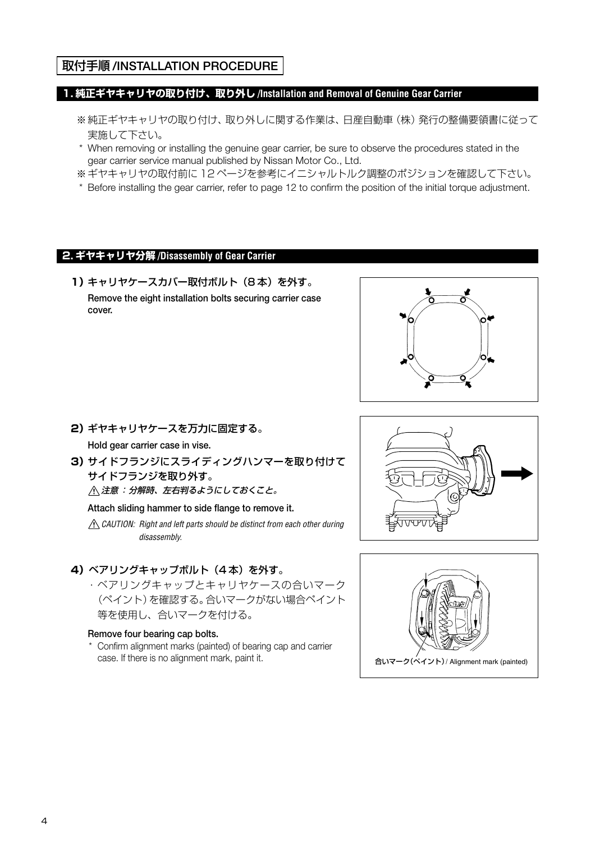# 取付手順 **/INSTALLATION PROCEDURE**

#### **1. 純正ギヤキャリヤの取り付け、取り外し /Installation and Removal of Genuine Gear Carrier**

- ※純正ギヤキャリヤの取り付け、取り外しに関する作業は、日産自動車(株)発行の整備要領書に従って 実施して下さい。
- \* When removing or installing the genuine gear carrier, be sure to observe the procedures stated in the gear carrier service manual published by Nissan Motor Co., Ltd.
- ※ギヤキャリヤの取付前に 12 ページを参考にイニシャルトルク調整のポジションを確認して下さい。
- \* Before installing the gear carrier, refer to page 12 to confirm the position of the initial torque adjustment.

#### **2. ギヤキャリヤ分解 /Disassembly of Gear Carrier**

**1)**キャリヤケースカバー取付ボルト(8 本)を外す。 **Remove the eight installation bolts securing carrier case cover.**



- **2)**ギヤキャリヤケースを万力に固定する。 **Hold gear carrier case in vise.**
- **3)**サイドフランジにスライディングハンマーを取り付けて サイドフランジを取り外す。 注意:分解時、左右判るようにしておくこと。

**Attach sliding hammer to side flange to remove it.**

 $\triangle$  CAUTION: Right and left parts should be distinct from each other during disassembly.

#### **4) ベアリングキャップボルト (4本) を外す。**

・ベアリングキャップとキャリヤケースの合いマーク (ペイント)を確認する。合いマークがない場合ペイント 等を使用し、合いマークを付ける。

#### **Remove four bearing cap bolts.**

 \* Confirm alignment marks (painted) of bearing cap and carrier case. If there is no alignment mark, paint it.  $\mathbf{a} \in \mathbb{R}$  and  $\mathbf{a} \in \mathbb{R}$  and  $\mathbf{a} \in \mathbb{R}$  alignment mark (painted)



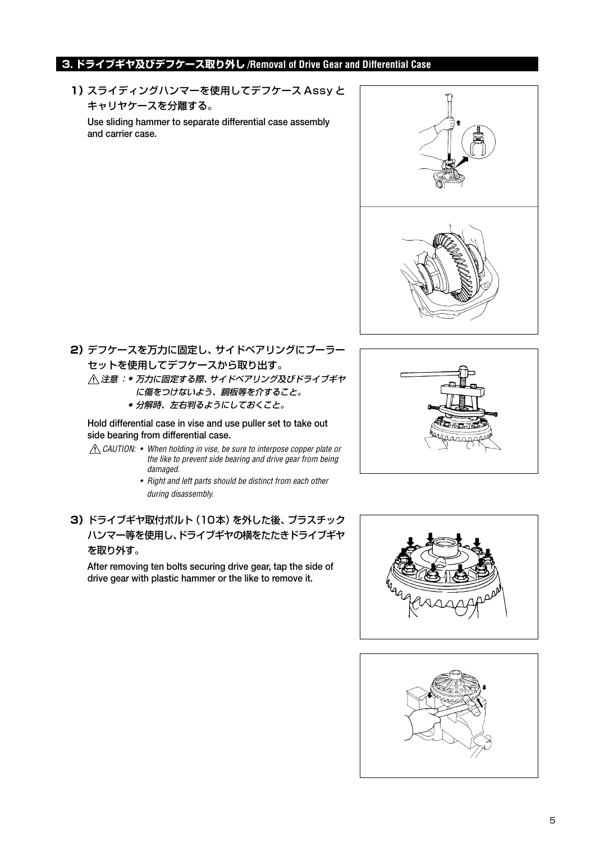# **3. ドライブギヤ及びデフケース取り外し /Removal of Drive Gear and Differential Case**

**1)**スライディングハンマーを使用してデフケース Assy と キャリヤケースを分離する。

**Use sliding hammer to separate differential case assembly and carrier case.**



**2)**デフケースを万力に固定し、サイドベアリングにプーラー セットを使用してデフケースから取り出す。 注意 :● 万力に固定する際、サイドベアリング及びドライブギヤ に傷をつけないよう、銅板等を介すること。

● 分解時、左右判るようにしておくこと。

**Hold differential case in vise and use puller set to take out side bearing from differential case.**

- CAUTION: When holding in vise, be sure to interpose copper plate or the like to prevent side bearing and drive gear from being damaged.
	- Right and left parts should be distinct from each other during disassembly.
- **3)**ドライブギヤ取付ボルト(10本)を外した後、プラスチック ハンマー等を使用し、ドライブギヤの横をたたきドライブギヤ を取り外す。

**After removing ten bolts securing drive gear, tap the side of drive gear with plastic hammer or the like to remove it.**





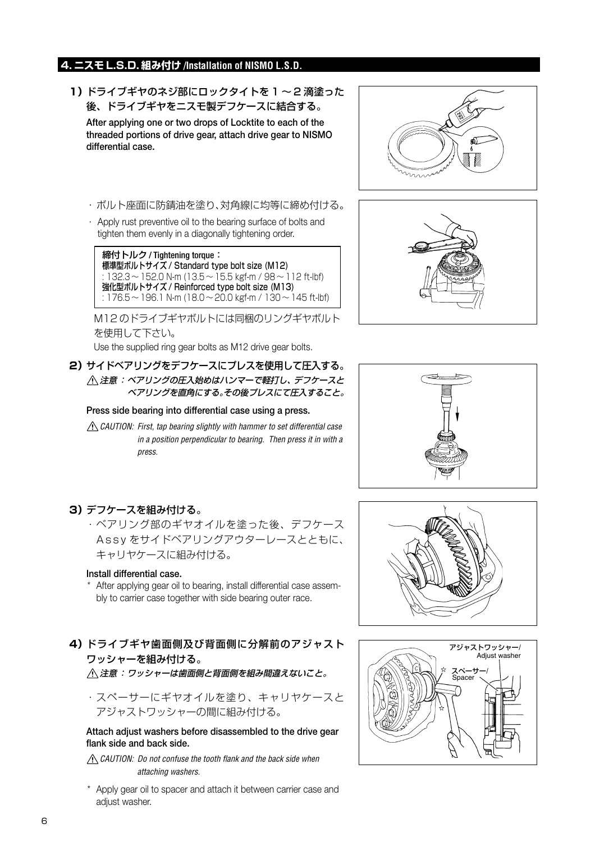# **4. ニスモ L.S.D. 組み付け /Installation of NISMO L.S.D.**

**1)**ドライブギヤのネジ部にロックタイトを 1 ~ 2 滴塗った 後、ドライブギヤをニスモ製デフケースに結合する。

**After applying one or two drops of Locktite to each of the threaded portions of drive gear, attach drive gear to NISMO differential case.**

- ・ボルト座面に防錆油を塗り、対角線に均等に締め付ける。
- · Apply rust preventive oil to the bearing surface of bolts and tighten them evenly in a diagonally tightening order.

締付トルク / Tightening torque: 標準型ボルトサイズ / Standard type bolt size (M12) :  $132.3 \sim 152.0$  N-m ( $13.5 \sim 15.5$  kgf-m /  $98 \sim 112$  ft-lbf) 強化型ボルトサイズ / Reinforced type bolt size (M13) : 176.5 ~ 196.1 N-m (18.0 ~ 20.0 kgf-m / 130 ~ 145 ft-lbf)

M12 のドライブギヤボルトには同梱のリングギヤボルト を使用して下さい。

Use the supplied ring gear bolts as M12 drive gear bolts.

**2)**サイドベアリングをデフケースにプレスを使用して圧入する。 注意:ベアリングの圧入始めはハンマーで軽打し、デフケースと ベアリングを直角にする。その後プレスにて圧入すること。

#### **Press side bearing into differential case using a press.**

 $\triangle$  CAUTION: First, tap bearing slightly with hammer to set differential case in a position perpendicular to bearing. Then press it in with a press.







# **3)**デフケースを組み付ける。

・ベアリング部のギヤオイルを塗った後、デフケース Assy をサイドベアリングアウターレースとともに、 キャリヤケースに組み付ける。

#### **Install differential case.**

 \* After applying gear oil to bearing, install differential case assembly to carrier case together with side bearing outer race.

**4)**ドライブギヤ歯面側及び背面側に分解前のアジャスト ワッシャーを組み付ける。

注意:ワッシャーは歯面側と背面側を組み間違えないこと。

・スペーサーにギヤオイルを塗り、キャリヤケースと アジャストワッシャーの間に組み付ける。

#### **Attach adjust washers before disassembled to the drive gear flank side and back side.**

 $\triangle$  CAUTION: Do not confuse the tooth flank and the back side when attaching washers.

 \* Apply gear oil to spacer and attach it between carrier case and adjust washer.



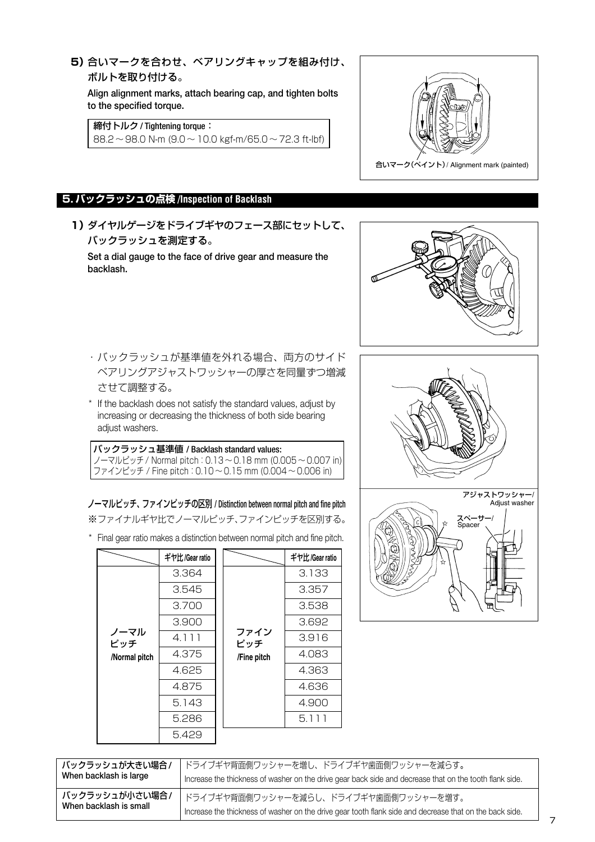## **5)**合いマークを合わせ、ベアリングキャップを組み付け、 ボルトを取り付ける。

**Align alignment marks, attach bearing cap, and tighten bolts to the specified torque.**

締付トルク / Tightening torque:

88.2 ~ 98.0 N-m (9.0 ~ 10.0 kgf-m/65.0 ~ 72.3 ft-lbf)



# **5. バックラッシュの点検 /Inspection of Backlash**

**1)**ダイヤルゲージをドライブギヤのフェース部にセットして、 バックラッシュを測定する。

**Set a dial gauge to the face of drive gear and measure the backlash.**



- ・バックラッシュが基準値を外れる場合、両方のサイド ベアリングアジャストワッシャーの厚さを同量ずつ増減 させて調整する。
- \* If the backlash does not satisfy the standard values, adjust by increasing or decreasing the thickness of both side bearing adjust washers.

#### バックラッシュ基準値 / Backlash standard values: ノーマルピッチ / Normal pitch:0.13 ~ 0.18 mm (0.005 ~ 0.007 in) ファインピッチ / Fine pitch:0.10 ~ 0.15 mm (0.004 ~ 0.006 in)

ノーマルピッチ、ファインピッチの区別 / Distinction between normal pitch and fine pitch ※ファイナルギヤ比でノーマルピッチ、ファインピッチを区別する。

\* Final gear ratio makes a distinction between normal pitch and fine pitch.

|               | ギヤ比/Gear ratio |             | ギヤ比/Gear ratio |
|---------------|----------------|-------------|----------------|
|               | 3.364          |             | 3.133          |
|               | 3.545          | 3.357       |                |
|               | 3.700          |             | 3.538          |
| ノーマル<br>ピッチ   | 3.900          |             | 3.692          |
|               | 4.111          | ファイン<br>ピッチ | 3.916          |
| /Normal pitch | 4.375          | /Fine pitch | 4.083          |
|               | 4.625          |             | 4.363          |
|               | 4.875          |             | 4.636          |
|               | 5.143          |             | 4.900          |
|               | 5.286          |             | 5.111          |
|               | 5.429          |             |                |





| バックラッシュが大きい場合/         | ドライブギヤ背面側ワッシャーを増し、ドライブギヤ歯面側ワッシャーを減らす。                                                                   |
|------------------------|---------------------------------------------------------------------------------------------------------|
| When backlash is large | Increase the thickness of washer on the drive gear back side and decrease that on the tooth flank side. |
| バックラッシュが小さい場合/         | . ドライブギヤ背面側ワッシャーを減らし、ドライブギヤ歯面側ワッシャーを増す。                                                                 |
| When backlash is small | Increase the thickness of washer on the drive gear tooth flank side and decrease that on the back side. |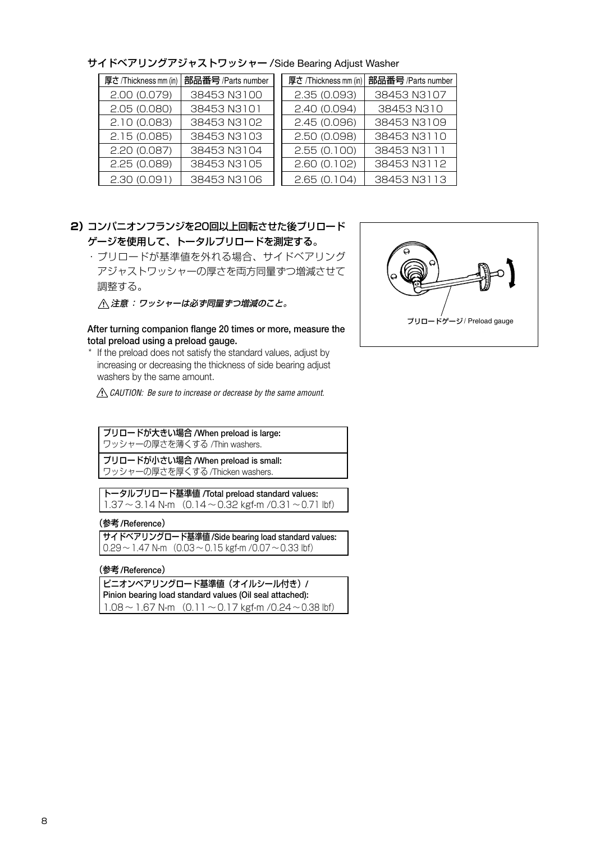| 厚さ/Thickness mm (in) | 部品番号/Parts number | 厚さ /Thickness mm (in) | 部品番号/Parts number |
|----------------------|-------------------|-----------------------|-------------------|
| 2.00(0.079)          | 38453 N3100       | 2.35(0.093)           | 38453 N3107       |
| 2.05(0.080)          | 38453 N3101       | 2.40(0.094)           | 38453 N310        |
| 2.10(0.083)          | 38453 N3102       | 2.45(0.096)           | 38453 N3109       |
| 2.15(0.085)          | 38453 N3103       | 2.50 (0.098)          | 38453 N3110       |
| 2.20(0.087)          | 38453 N3104       | 2.55(0.100)           | 38453 N3111       |
| 2.25(0.089)          | 38453 N3105       | 2.60(0.102)           | 38453 N3112       |
| 2.30(0.091)          | 38453 N3106       | 2.65(0.104)           | 38453 N3113       |

サイドベアリングアジャストワッシャー /Side Bearing Adjust Washer

## **2)**コンパニオンフランジを20回以上回転させた後プリロード ゲージを使用して、トータルプリロードを測定する。

・プリロードが基準値を外れる場合、サイドベアリング アジャストワッシャーの厚さを両方同量ずつ増減させて 調整する。

注意:ワッシャーは必ず同量ずつ増減のこと。

#### **After turning companion flange 20 times or more, measure the total preload using a preload gauge.**

 \* If the preload does not satisfy the standard values, adjust by increasing or decreasing the thickness of side bearing adjust washers by the same amount.

 $\triangle$  CAUTION: Be sure to increase or decrease by the same amount.

プリロードが大きい場合 **/When preload is large:**

ワッシャーの厚さを薄くする /Thin washers.

プリロードが小さい場合 **/When preload is small:** ワッシャーの厚さを厚くする /Thicken washers.

トータルプリロード基準値 **/Total preload standard values:**  $1.37 \sim 3.14$  N-m  $(0.14 \sim 0.32$  kgf-m  $/0.31 \sim 0.71$  lbf)

#### (参考 **/Reference**)

サイドベアリングロード基準値 **/Side bearing load standard values:**  $0.29 \sim 1.47$  N-m  $(0.03 \sim 0.15$  kgf-m  $/0.07 \sim 0.33$  lbf)

#### (参考 **/Reference**)

ピニオンベアリングロード基準値(オイルシール付き)**/ Pinion bearing load standard values (Oil seal attached):**  $1.08 \sim 1.67$  N-m  $(0.11 \sim 0.17$  kgf-m  $/0.24 \sim 0.38$  lbf)

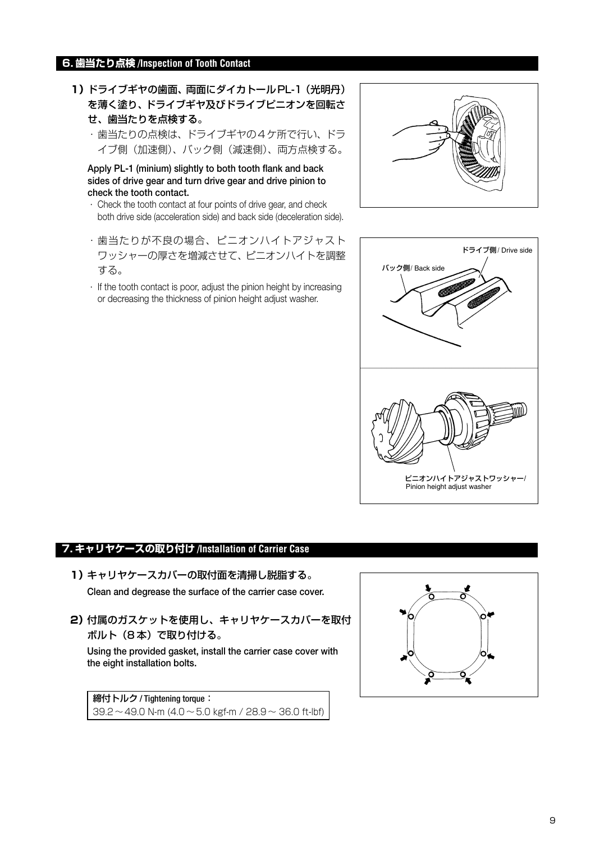#### **6. 歯当たり点検 /Inspection of Tooth Contact**

- **1)**ドライブギヤの歯面、両面にダイカトールPL-1(光明丹) を薄く塗り、ドライブギヤ及びドライブピニオンを回転さ せ、歯当たりを点検する。
	- ・歯当たりの点検は、ドライブギヤの4ケ所で行い、ドラ イブ側(加速側)、バック側(減速側)、両方点検する。

**Apply PL-1 (minium) slightly to both tooth flank and back sides of drive gear and turn drive gear and drive pinion to check the tooth contact.**

- · Check the tooth contact at four points of drive gear, and check both drive side (acceleration side) and back side (deceleration side).
- ・歯当たりが不良の場合、ピニオンハイトアジャスト ワッシャーの厚さを増減させて、ピニオンハイトを調整 する。
- · If the tooth contact is poor, adjust the pinion height by increasing or decreasing the thickness of pinion height adjust washer.





#### **7. キャリヤケースの取り付け /Installation of Carrier Case**

- **1)**キャリヤケースカバーの取付面を清掃し脱脂する。 **Clean and degrease the surface of the carrier case cover.**
- **2)**付属のガスケットを使用し、キャリヤケースカバーを取付 ボルト(8 本)で取り付ける。

**Using the provided gasket, install the carrier case cover with the eight installation bolts.**

締付トルク / Tightening torque:  $39.2 \sim 49.0$  N-m (4.0  $\sim$  5.0 kgf-m / 28.9  $\sim$  36.0 ft-lbf)

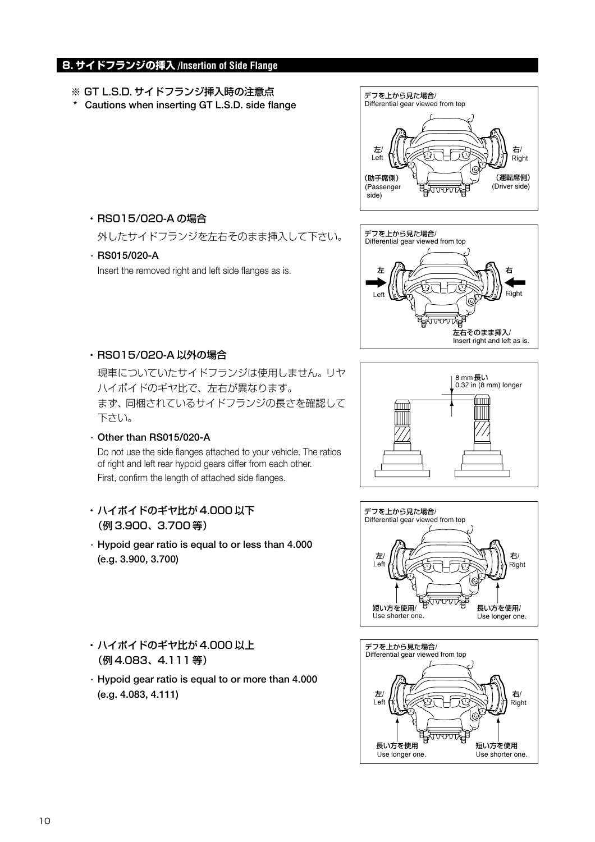# **8. サイドフランジの挿入 /Insertion of Side Flange**

- **※** GT L.S.D. サイドフランジ挿入時の注意点
- **\* Cautions when inserting GT L.S.D. side flange**
- デフを上から見た場合/ 左/ 右/ (助手席側)  $\left(\begin{array}{ccc} \begin{pmatrix} \bullet & \bullet \\ \bullet & \bullet \end{pmatrix} & \begin{pmatrix} \bullet & \bullet \\ \bullet & \bullet \end{pmatrix} \end{array}\right)$  (運転席側) Left Right (Passenger side) (Driver side) Differential gear viewed from top



外したサイドフランジを左右そのまま挿入して下さい。

 **· RS015/020-A**

Insert the removed right and left side flanges as is.



・RS015/020-A 以外の場合

現車についていたサイドフランジは使用しません。リヤ ハイポイドのギヤ比で、左右が異なります。 まず、同梱されているサイドフランジの長さを確認して 下さい。

- **· Other than RS015/020-A** Do not use the side flanges attached to your vehicle. The ratios of right and left rear hypoid gears differ from each other. First, confirm the length of attached side flanges.
- ・ハイポイドのギヤ比が 4.000 以下 (例 3.900、3.700 等)
- **· Hypoid gear ratio is equal to or less than 4.000 (e.g. 3.900, 3.700)**
- ・ハイポイドのギヤ比が 4.000 以上 (例 4.083、4.111 等)
- **· Hypoid gear ratio is equal to or more than 4.000 (e.g. 4.083, 4.111)**





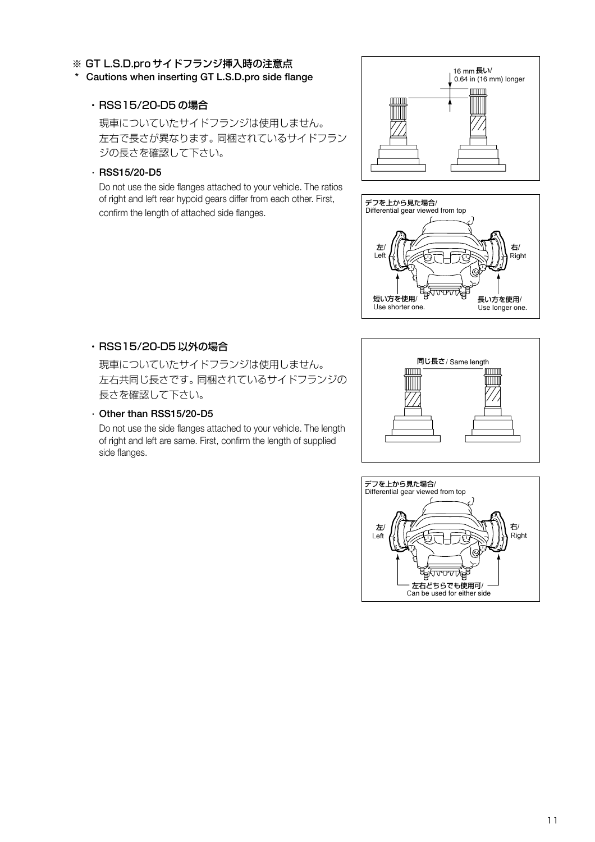#### **※** GT L.S.D.pro サイドフランジ挿入時の注意点

#### **\* Cautions when inserting GT L.S.D.pro side flange**

#### ・RSS15/20-D5 の場合

現車についていたサイドフランジは使用しません。 左右で長さが異なります。同梱されているサイドフラン ジの長さを確認して下さい。

#### **· RSS15/20-D5**

Do not use the side flanges attached to your vehicle. The ratios of right and left rear hypoid gears differ from each other. First, confirm the length of attached side flanges.





#### ・RSS15/20-D5 以外の場合

現車についていたサイドフランジは使用しません。 左右共同じ長さです。同梱されているサイドフランジの 長さを確認して下さい。

## **· Other than RSS15/20-D5**

Do not use the side flanges attached to your vehicle. The length of right and left are same. First, confirm the length of supplied side flanges.